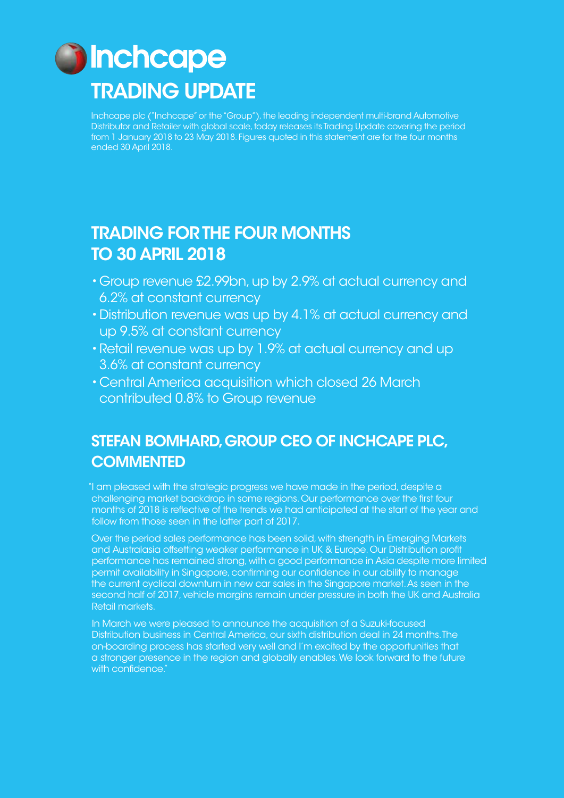

Inchcape plc ("Inchcape" or the "Group"), the leading independent multi-brand Automotive Distributor and Retailer with global scale, today releases its Trading Update covering the period from 1 January 2018 to 23 May 2018. Figures quoted in this statement are for the four months ended 30 April 2018.

## TRADING FOR THE FOUR MONTHS TO 30 APRIL 2018

- •Group revenue £2.99bn, up by 2.9% at actual currency and 6.2% at constant currency
- •Distribution revenue was up by 4.1% at actual currency and up 9.5% at constant currency
- •Retail revenue was up by 1.9% at actual currency and up 3.6% at constant currency
- •Central America acquisition which closed 26 March contributed 0.8% to Group revenue

### STEFAN BOMHARD, GROUP CEO OF INCHCAPE PLC, **COMMENTED**

"I am pleased with the strategic progress we have made in the period, despite a challenging market backdrop in some regions. Our performance over the first four months of 2018 is reflective of the trends we had anticipated at the start of the year and follow from those seen in the latter part of 2017.

Over the period sales performance has been solid, with strength in Emerging Markets and Australasia offsetting weaker performance in UK & Europe. Our Distribution profit performance has remained strong, with a good performance in Asia despite more limited permit availability in Singapore, confirming our confidence in our ability to manage the current cyclical downturn in new car sales in the Singapore market. As seen in the second half of 2017, vehicle margins remain under pressure in both the UK and Australia Retail markets.

In March we were pleased to announce the acquisition of a Suzuki-focused Distribution business in Central America, our sixth distribution deal in 24 months. The on-boarding process has started very well and I'm excited by the opportunities that a stronger presence in the region and globally enables. We look forward to the future with confidence."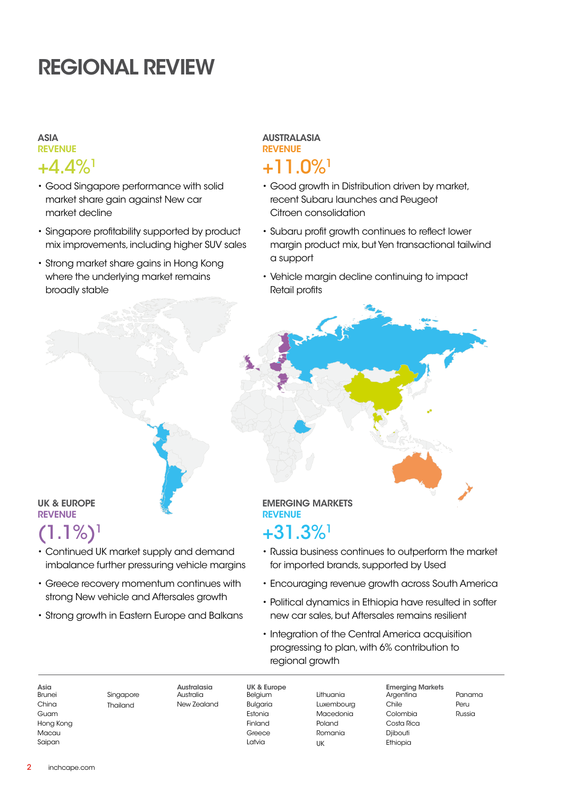# REGIONAL REVIEW

### ASIA REVENUE

### $+4.4\%$ <sup>1</sup>

- Good Singapore performance with solid market share gain against New car market decline
- Singapore profitability supported by product mix improvements, including higher SUV sales
- Strong market share gains in Hong Kong where the underlying market remains broadly stable

#### AUSTRALASIA REVENUE

# +11.0%1

- Good growth in Distribution driven by market, recent Subaru launches and Peugeot Citroen consolidation
- Subaru profit growth continues to reflect lower margin product mix, but Yen transactional tailwind a support
- Vehicle margin decline continuing to impact Retail profits

### UK & EUROPE REVENUE

# $(1.1\%)$ <sup>1</sup>

- Continued UK market supply and demand imbalance further pressuring vehicle margins
- Greece recovery momentum continues with strong New vehicle and Aftersales growth
- Strong growth in Eastern Europe and Balkans

### EMERGING MARKETS REVENUE

### +31.3%1

- Russia business continues to outperform the market for imported brands, supported by Used
- Encouraging revenue growth across South America
- Political dynamics in Ethiopia have resulted in softer new car sales, but Aftersales remains resilient
- Integration of the Central America acquisition progressing to plan, with 6% contribution to regional growth

Asia Brunei China Guam Hong Kong **Macau** Saipan

Singapore Thailand

Australasia Australia New Zealand

Belgium Bulgaria Estonia Finland Greece Latvia

UK & Europe

Lithuania Luxembourg Macedonia Poland Romania UK

Emerging Markets Argentina Chile Colombia Costa Rica Diibouti Ethiopia

Panama Peru Russia